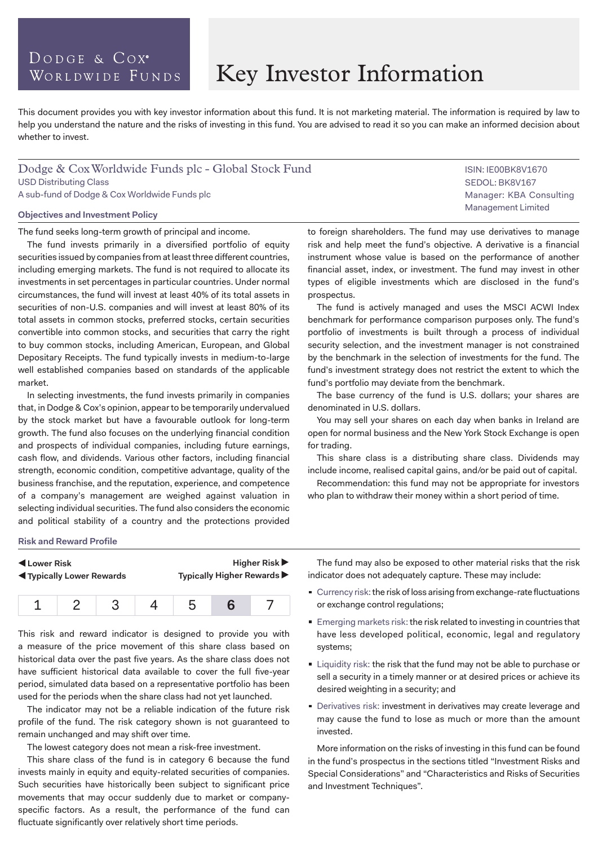### DODGE & COX<sup>®</sup> WORLDWIDE FUNDS

# Key Investor Information

This document provides you with key investor information about this fund. It is not marketing material. The information is required by law to help you understand the nature and the risks of investing in this fund. You are advised to read it so you can make an informed decision about whether to invest.

### Dodge & Cox Worldwide Funds plc - Global Stock Fund USD Distributing Class A sub-fund of Dodge & Cox Worldwide Funds plc

#### **Objectives and Investment Policy**

The fund seeks long-term growth of principal and income.

The fund invests primarily in a diversified portfolio of equity securities issued by companies from at least three different countries, including emerging markets. The fund is not required to allocate its investments in set percentages in particular countries. Under normal circumstances, the fund will invest at least 40% of its total assets in securities of non-U.S. companies and will invest at least 80% of its total assets in common stocks, preferred stocks, certain securities convertible into common stocks, and securities that carry the right to buy common stocks, including American, European, and Global Depositary Receipts. The fund typically invests in medium-to-large well established companies based on standards of the applicable market.

In selecting investments, the fund invests primarily in companies that, in Dodge & Cox's opinion, appear to be temporarily undervalued by the stock market but have a favourable outlook for long-term growth. The fund also focuses on the underlying financial condition and prospects of individual companies, including future earnings, cash flow, and dividends. Various other factors, including financial strength, economic condition, competitive advantage, quality of the business franchise, and the reputation, experience, and competence of a company's management are weighed against valuation in selecting individual securities. The fund also considers the economic and political stability of a country and the protections provided

to foreign shareholders. The fund may use derivatives to manage risk and help meet the fund's objective. A derivative is a financial instrument whose value is based on the performance of another financial asset, index, or investment. The fund may invest in other types of eligible investments which are disclosed in the fund's prospectus.

The fund is actively managed and uses the MSCI ACWI Index benchmark for performance comparison purposes only. The fund's portfolio of investments is built through a process of individual security selection, and the investment manager is not constrained by the benchmark in the selection of investments for the fund. The fund's investment strategy does not restrict the extent to which the fund's portfolio may deviate from the benchmark.

The base currency of the fund is U.S. dollars; your shares are denominated in U.S. dollars.

You may sell your shares on each day when banks in Ireland are open for normal business and the New York Stock Exchange is open for trading.

This share class is a distributing share class. Dividends may include income, realised capital gains, and/or be paid out of capital.

Recommendation: this fund may not be appropriate for investors who plan to withdraw their money within a short period of time.

#### **Risk and Reward Profile**

| Lower Risk<br><b>Example 3 Typically Lower Rewards</b> |  | Higher Risk $\blacktriangleright$<br>Typically Higher Rewards ▶ |
|--------------------------------------------------------|--|-----------------------------------------------------------------|
|                                                        |  |                                                                 |

|--|

This risk and reward indicator is designed to provide you with a measure of the price movement of this share class based on historical data over the past five years. As the share class does not have sufficient historical data available to cover the full five-year period, simulated data based on a representative portfolio has been used for the periods when the share class had not yet launched.

The indicator may not be a reliable indication of the future risk profile of the fund. The risk category shown is not guaranteed to remain unchanged and may shift over time.

The lowest category does not mean a risk-free investment.

This share class of the fund is in category 6 because the fund invests mainly in equity and equity-related securities of companies. Such securities have historically been subject to significant price movements that may occur suddenly due to market or companyspecific factors. As a result, the performance of the fund can fluctuate significantly over relatively short time periods.

The fund may also be exposed to other material risks that the risk indicator does not adequately capture. These may include:

- Currency risk: the risk of loss arising from exchange-rate fluctuations or exchange control regulations;
- Emerging markets risk: the risk related to investing in countries that have less developed political, economic, legal and regulatory systems;
- **Example 1** Liquidity risk: the risk that the fund may not be able to purchase or sell a security in a timely manner or at desired prices or achieve its desired weighting in a security; and
- **Derivatives risk: investment in derivatives may create leverage and** may cause the fund to lose as much or more than the amount invested.

More information on the risks of investing in this fund can be found in the fund's prospectus in the sections titled "Investment Risks and Special Considerations" and "Characteristics and Risks of Securities and Investment Techniques".

ISIN: IE00BK8V1670 SEDOL: BK8V167 Manager: KBA Consulting Management Limited